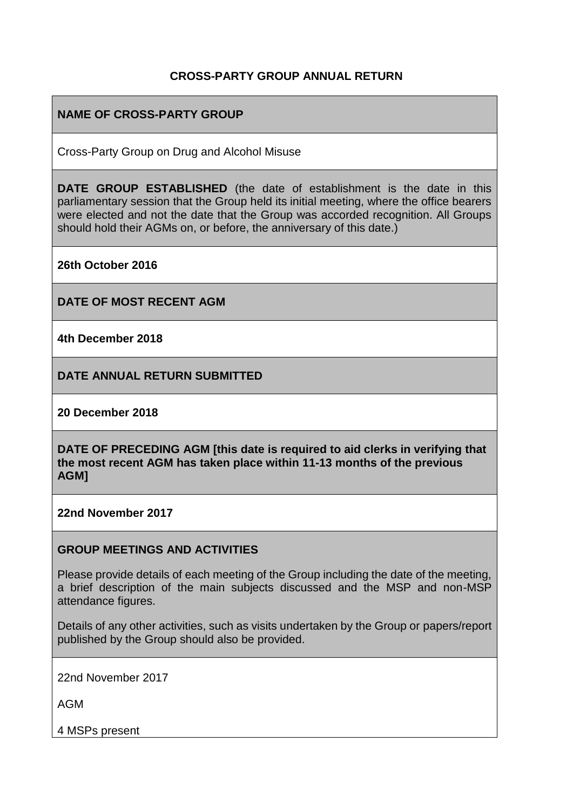#### **CROSS-PARTY GROUP ANNUAL RETURN**

### **NAME OF CROSS-PARTY GROUP**

Cross-Party Group on Drug and Alcohol Misuse

**DATE GROUP ESTABLISHED** (the date of establishment is the date in this parliamentary session that the Group held its initial meeting, where the office bearers were elected and not the date that the Group was accorded recognition. All Groups should hold their AGMs on, or before, the anniversary of this date.)

**26th October 2016**

**DATE OF MOST RECENT AGM**

**4th December 2018**

**DATE ANNUAL RETURN SUBMITTED**

**20 December 2018**

**DATE OF PRECEDING AGM [this date is required to aid clerks in verifying that the most recent AGM has taken place within 11-13 months of the previous AGM]**

**22nd November 2017**

#### **GROUP MEETINGS AND ACTIVITIES**

Please provide details of each meeting of the Group including the date of the meeting, a brief description of the main subjects discussed and the MSP and non-MSP attendance figures.

Details of any other activities, such as visits undertaken by the Group or papers/report published by the Group should also be provided.

22nd November 2017

AGM

4 MSPs present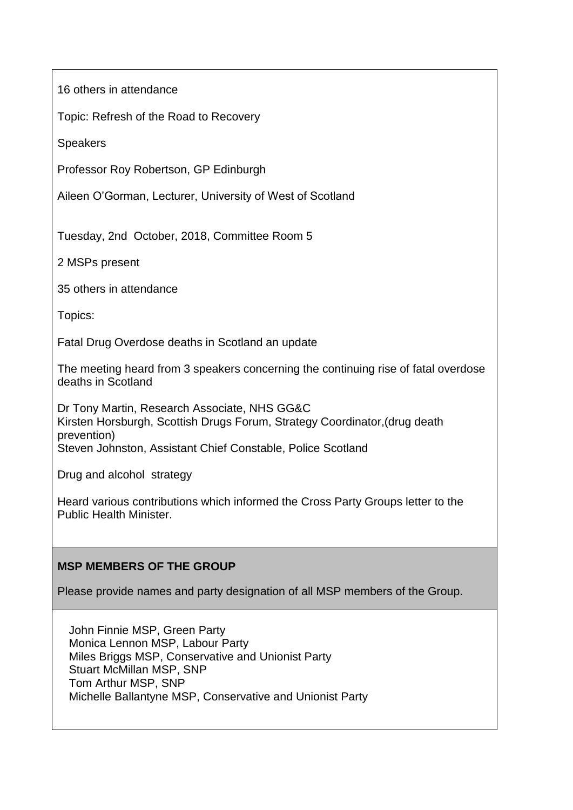16 others in attendance

Topic: Refresh of the Road to Recovery

**Speakers** 

Professor Roy Robertson, GP Edinburgh

Aileen O'Gorman, Lecturer, University of West of Scotland

Tuesday, 2nd October, 2018, Committee Room 5

2 MSPs present

35 others in attendance

Topics:

Fatal Drug Overdose deaths in Scotland an update

The meeting heard from 3 speakers concerning the continuing rise of fatal overdose deaths in Scotland

Dr Tony Martin, Research Associate, NHS GG&C Kirsten Horsburgh, Scottish Drugs Forum, Strategy Coordinator,(drug death prevention) Steven Johnston, Assistant Chief Constable, Police Scotland

Drug and alcohol strategy

Heard various contributions which informed the Cross Party Groups letter to the Public Health Minister.

#### **MSP MEMBERS OF THE GROUP**

Please provide names and party designation of all MSP members of the Group.

John Finnie MSP, Green Party Monica Lennon MSP, Labour Party Miles Briggs MSP, Conservative and Unionist Party Stuart McMillan MSP, SNP Tom Arthur MSP, SNP Michelle Ballantyne MSP, Conservative and Unionist Party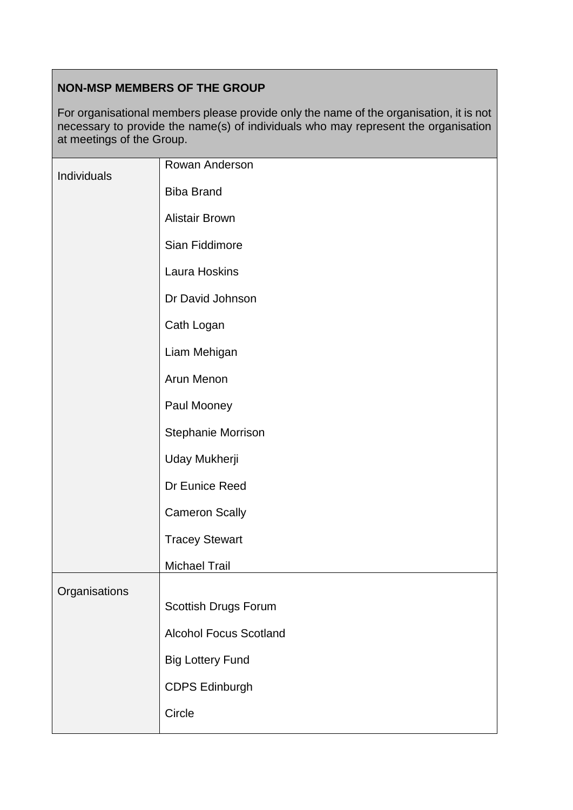# **NON-MSP MEMBERS OF THE GROUP**

For organisational members please provide only the name of the organisation, it is not necessary to provide the name(s) of individuals who may represent the organisation at meetings of the Group.

| Individuals   | Rowan Anderson                |
|---------------|-------------------------------|
|               | <b>Biba Brand</b>             |
|               | <b>Alistair Brown</b>         |
|               | Sian Fiddimore                |
|               | Laura Hoskins                 |
|               | Dr David Johnson              |
|               | Cath Logan                    |
|               | Liam Mehigan                  |
|               | Arun Menon                    |
|               | Paul Mooney                   |
|               | Stephanie Morrison            |
|               | Uday Mukherji                 |
|               | Dr Eunice Reed                |
|               | <b>Cameron Scally</b>         |
|               | <b>Tracey Stewart</b>         |
|               | <b>Michael Trail</b>          |
| Organisations |                               |
|               | Scottish Drugs Forum          |
|               | <b>Alcohol Focus Scotland</b> |
|               | <b>Big Lottery Fund</b>       |
|               | <b>CDPS Edinburgh</b>         |
|               | Circle                        |
|               |                               |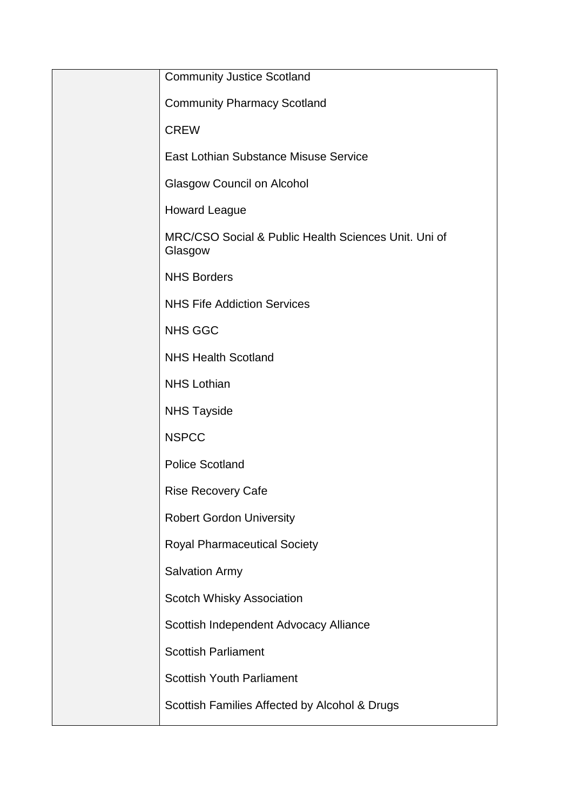| <b>Community Justice Scotland</b>                               |
|-----------------------------------------------------------------|
| <b>Community Pharmacy Scotland</b>                              |
| <b>CREW</b>                                                     |
| East Lothian Substance Misuse Service                           |
| <b>Glasgow Council on Alcohol</b>                               |
| <b>Howard League</b>                                            |
| MRC/CSO Social & Public Health Sciences Unit. Uni of<br>Glasgow |
| <b>NHS Borders</b>                                              |
| <b>NHS Fife Addiction Services</b>                              |
| <b>NHS GGC</b>                                                  |
| <b>NHS Health Scotland</b>                                      |
| <b>NHS Lothian</b>                                              |
| <b>NHS Tayside</b>                                              |
| <b>NSPCC</b>                                                    |
| <b>Police Scotland</b>                                          |
| <b>Rise Recovery Cafe</b>                                       |
| <b>Robert Gordon University</b>                                 |
| <b>Royal Pharmaceutical Society</b>                             |
| <b>Salvation Army</b>                                           |
| Scotch Whisky Association                                       |
| Scottish Independent Advocacy Alliance                          |
| <b>Scottish Parliament</b>                                      |
| <b>Scottish Youth Parliament</b>                                |
| Scottish Families Affected by Alcohol & Drugs                   |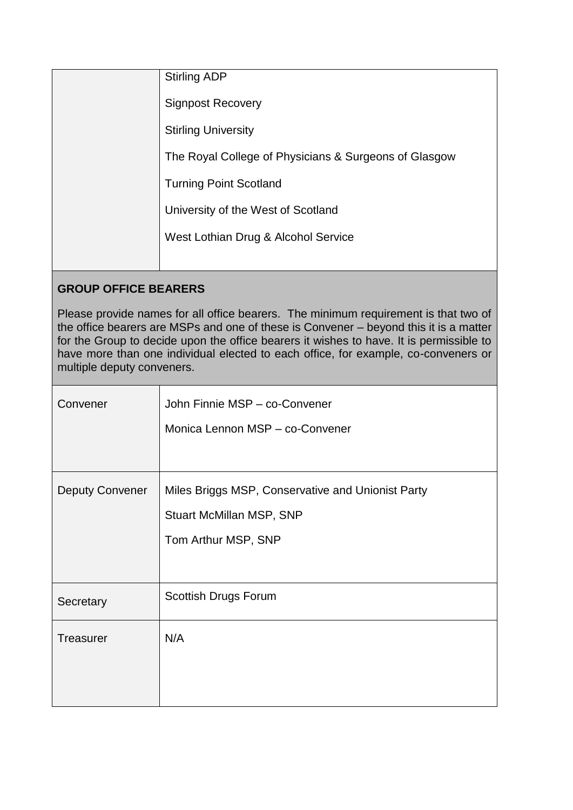| <b>Stirling ADP</b>                                   |
|-------------------------------------------------------|
| <b>Signpost Recovery</b>                              |
| <b>Stirling University</b>                            |
| The Royal College of Physicians & Surgeons of Glasgow |
| <b>Turning Point Scotland</b>                         |
| University of the West of Scotland                    |
| West Lothian Drug & Alcohol Service                   |
|                                                       |

# **GROUP OFFICE BEARERS**

Please provide names for all office bearers. The minimum requirement is that two of the office bearers are MSPs and one of these is Convener – beyond this it is a matter for the Group to decide upon the office bearers it wishes to have. It is permissible to have more than one individual elected to each office, for example, co-conveners or multiple deputy conveners.

| Convener               | John Finnie MSP - co-Convener<br>Monica Lennon MSP - co-Convener                                     |
|------------------------|------------------------------------------------------------------------------------------------------|
| <b>Deputy Convener</b> | Miles Briggs MSP, Conservative and Unionist Party<br>Stuart McMillan MSP, SNP<br>Tom Arthur MSP, SNP |
| Secretary              | Scottish Drugs Forum                                                                                 |
| <b>Treasurer</b>       | N/A                                                                                                  |